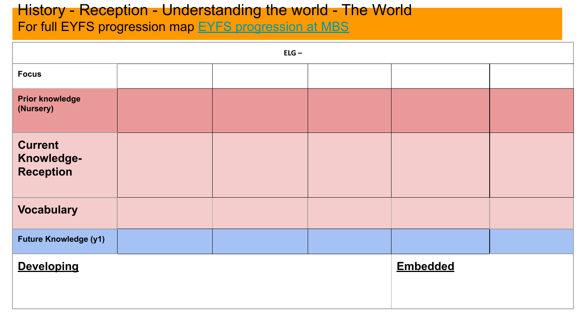#### History - Reception - Understanding the world - The World For full EYFS progression map [EYFS progression at MBS](https://docs.google.com/document/d/1Fjp4Mb__3HR2x5li01iG9ZbmKtdrE0w4/edit?usp=sharing&ouid=114251434962053005645&rtpof=true&sd=true)

|                                                  | $ELG -$ |                 |  |  |  |  |  |  |
|--------------------------------------------------|---------|-----------------|--|--|--|--|--|--|
| <b>Focus</b>                                     |         |                 |  |  |  |  |  |  |
| <b>Prior knowledge</b><br>(Nursery)              |         |                 |  |  |  |  |  |  |
| <b>Current</b><br>Knowledge-<br><b>Reception</b> |         |                 |  |  |  |  |  |  |
| <b>Vocabulary</b>                                |         |                 |  |  |  |  |  |  |
| <b>Future Knowledge (y1)</b>                     |         |                 |  |  |  |  |  |  |
| <b>Developing</b>                                |         | <b>Embedded</b> |  |  |  |  |  |  |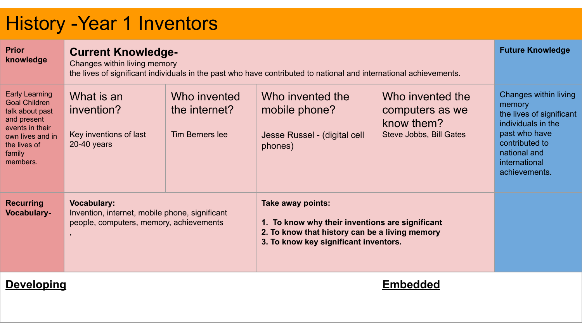## History -Year 1 Inventors

| <b>Prior</b><br>knowledge                                                                                                                                    |                                                                                                                 | <b>Current Knowledge-</b><br>Changes within living memory<br>the lives of significant individuals in the past who have contributed to national and international achievements. |                                                                                                                                                                 |                                                                              |                                                                                                                                                                        |  |  |  |
|--------------------------------------------------------------------------------------------------------------------------------------------------------------|-----------------------------------------------------------------------------------------------------------------|--------------------------------------------------------------------------------------------------------------------------------------------------------------------------------|-----------------------------------------------------------------------------------------------------------------------------------------------------------------|------------------------------------------------------------------------------|------------------------------------------------------------------------------------------------------------------------------------------------------------------------|--|--|--|
| <b>Early Learning</b><br><b>Goal Children</b><br>talk about past<br>and present<br>events in their<br>own lives and in<br>the lives of<br>family<br>members. | What is an<br>invention?<br>Key inventions of last<br>$20-40$ years                                             | Who invented<br>the internet?<br>Tim Berners lee                                                                                                                               | Who invented the<br>mobile phone?<br>Jesse Russel - (digital cell<br>phones)                                                                                    | Who invented the<br>computers as we<br>know them?<br>Steve Jobbs, Bill Gates | Changes within living<br>memory<br>the lives of significant<br>individuals in the<br>past who have<br>contributed to<br>national and<br>international<br>achievements. |  |  |  |
| <b>Recurring</b><br><b>Vocabulary-</b>                                                                                                                       | <b>Vocabulary:</b><br>Invention, internet, mobile phone, significant<br>people, computers, memory, achievements |                                                                                                                                                                                | Take away points:<br>1. To know why their inventions are significant<br>2. To know that history can be a living memory<br>3. To know key significant inventors. |                                                                              |                                                                                                                                                                        |  |  |  |
| <b>Developing</b>                                                                                                                                            |                                                                                                                 |                                                                                                                                                                                |                                                                                                                                                                 | <b>Embedded</b>                                                              |                                                                                                                                                                        |  |  |  |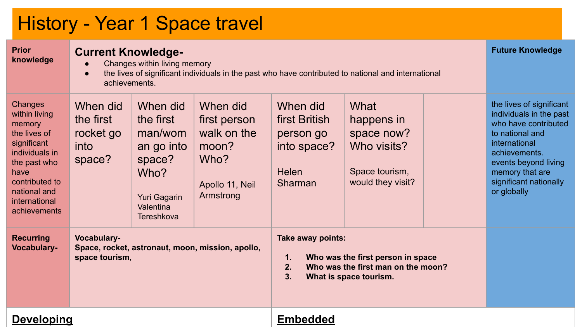### History - Year 1 Space travel

| <b>Prior</b><br>knowledge                                                                                                                                                      | $\bullet$                                                                         | <b>Current Knowledge-</b><br>Changes within living memory<br>the lives of significant individuals in the past who have contributed to national and international<br>achievements. |                                                                                          |                                                                                  |                                                                                                   |  |                                                                                                                                                                                                                      |  |
|--------------------------------------------------------------------------------------------------------------------------------------------------------------------------------|-----------------------------------------------------------------------------------|-----------------------------------------------------------------------------------------------------------------------------------------------------------------------------------|------------------------------------------------------------------------------------------|----------------------------------------------------------------------------------|---------------------------------------------------------------------------------------------------|--|----------------------------------------------------------------------------------------------------------------------------------------------------------------------------------------------------------------------|--|
| Changes<br>within living<br>memory<br>the lives of<br>significant<br>individuals in<br>the past who<br>have<br>contributed to<br>national and<br>international<br>achievements | When did<br>the first<br>rocket go<br>into<br>space?                              | When did<br>the first<br>man/wom<br>an go into<br>space?<br>Who?<br>Yuri Gagarin<br>Valentina<br><b>Tereshkova</b>                                                                | When did<br>first person<br>walk on the<br>moon?<br>Who?<br>Apollo 11, Neil<br>Armstrong | When did<br>first British<br>person go<br>into space?<br><b>Helen</b><br>Sharman | What<br>happens in<br>space now?<br>Who visits?<br>Space tourism,<br>would they visit?            |  | the lives of significant<br>individuals in the past<br>who have contributed<br>to national and<br>international<br>achievements.<br>events beyond living<br>memory that are<br>significant nationally<br>or globally |  |
| <b>Recurring</b><br><b>Vocabulary-</b>                                                                                                                                         | Vocabulary-<br>Space, rocket, astronaut, moon, mission, apollo,<br>space tourism, |                                                                                                                                                                                   |                                                                                          | Take away points:<br>1.<br>2.<br>3.                                              | Who was the first person in space<br>Who was the first man on the moon?<br>What is space tourism. |  |                                                                                                                                                                                                                      |  |
| <b>Developing</b>                                                                                                                                                              |                                                                                   |                                                                                                                                                                                   |                                                                                          | <b>Embedded</b>                                                                  |                                                                                                   |  |                                                                                                                                                                                                                      |  |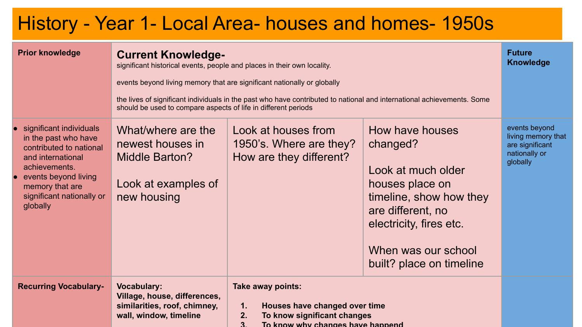#### History - Year 1- Local Area- houses and homes- 1950s

| <b>Prior knowledge</b>                                                                                                                                                                               | <b>Current Knowledge-</b><br>significant historical events, people and places in their own locality.<br>should be used to compare aspects of life in different periods | events beyond living memory that are significant nationally or globally<br>the lives of significant individuals in the past who have contributed to national and international achievements. Some | <b>Future</b><br><b>Knowledge</b>                                                                                                                                                                  |                                                                                     |
|------------------------------------------------------------------------------------------------------------------------------------------------------------------------------------------------------|------------------------------------------------------------------------------------------------------------------------------------------------------------------------|---------------------------------------------------------------------------------------------------------------------------------------------------------------------------------------------------|----------------------------------------------------------------------------------------------------------------------------------------------------------------------------------------------------|-------------------------------------------------------------------------------------|
| significant individuals<br>in the past who have<br>contributed to national<br>and international<br>achievements.<br>events beyond living<br>memory that are<br>significant nationally or<br>globally | What/where are the<br>newest houses in<br>Middle Barton?<br>Look at examples of<br>new housing                                                                         | Look at houses from<br>1950's. Where are they?<br>How are they different?                                                                                                                         | How have houses<br>changed?<br>Look at much older<br>houses place on<br>timeline, show how they<br>are different, no<br>electricity, fires etc.<br>When was our school<br>built? place on timeline | events beyond<br>living memory that<br>are significant<br>nationally or<br>globally |
| <b>Recurring Vocabulary-</b>                                                                                                                                                                         | <b>Vocabulary:</b><br>Village, house, differences,<br>similarities, roof, chimney,<br>wall, window, timeline                                                           | Take away points:<br>Houses have changed over time<br>$\mathbf{1}$ .<br>To know significant changes<br>2.<br>To know why changes have hannend                                                     |                                                                                                                                                                                                    |                                                                                     |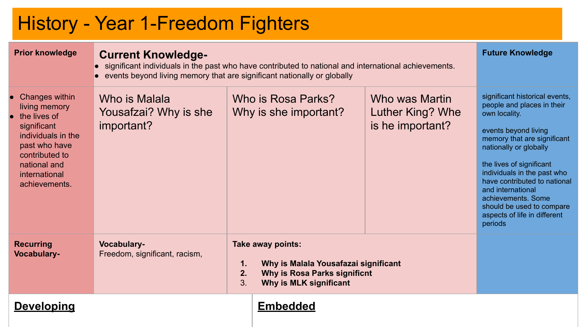#### History - Year 1-Freedom Fighters

| <b>Prior knowledge</b>                                                                                                                                                    | <b>Current Knowledge-</b><br>• significant individuals in the past who have contributed to national and international achievements.<br>• events beyond living memory that are significant nationally or globally | <b>Future Knowledge</b> |                                                                                                                     |                                                        |                                                                                                                                                                                                                                                                                                                                                                              |
|---------------------------------------------------------------------------------------------------------------------------------------------------------------------------|------------------------------------------------------------------------------------------------------------------------------------------------------------------------------------------------------------------|-------------------------|---------------------------------------------------------------------------------------------------------------------|--------------------------------------------------------|------------------------------------------------------------------------------------------------------------------------------------------------------------------------------------------------------------------------------------------------------------------------------------------------------------------------------------------------------------------------------|
| Changes within<br>living memory<br>the lives of<br>significant<br>individuals in the<br>past who have<br>contributed to<br>national and<br>international<br>achievements. | Who is Malala<br>Yousafzai? Why is she<br>important?                                                                                                                                                             |                         | Who is Rosa Parks?<br>Why is she important?                                                                         | Who was Martin<br>Luther King? Whe<br>is he important? | significant historical events,<br>people and places in their<br>own locality.<br>events beyond living<br>memory that are significant<br>nationally or globally<br>the lives of significant<br>individuals in the past who<br>have contributed to national<br>and international<br>achievements, Some<br>should be used to compare<br>aspects of life in different<br>periods |
| <b>Recurring</b><br>Vocabulary-                                                                                                                                           | Vocabulary-<br>Freedom, significant, racism,                                                                                                                                                                     | 1.<br>2.<br>3.          | Take away points:<br>Why is Malala Yousafazai significant<br>Why is Rosa Parks significnt<br>Why is MLK significant |                                                        |                                                                                                                                                                                                                                                                                                                                                                              |
| <b>Developing</b>                                                                                                                                                         |                                                                                                                                                                                                                  |                         | <b>Embedded</b>                                                                                                     |                                                        |                                                                                                                                                                                                                                                                                                                                                                              |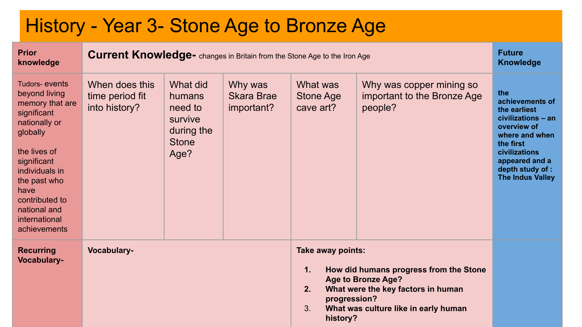#### History - Year 3- Stone Age to Bronze Age **Prior knowledge Current Knowledge-** changes in Britain from the Stone Age to the Iron Age **Future Future Knowledge** Tudors- events beyond living memory that are significant nationally or globally the lives of significant individuals in the past who have contributed to national and international achievements When does this time period fit into history? What did humans need to survive during the **Stone** Age? Why was Skara Brae important? What was Stone Age cave art? Why was copper mining so important to the Bronze Age people? **the achievements of the earliest civilizations – an overview of where and when the first civilizations appeared and a depth study of : The Indus Valley Recurring Vocabulary-Vocabulary- Take away points: 1. How did humans progress from the Stone Age to Bronze Age? 2. What were the key factors in human progression?** 3. **What was culture like in early human history?**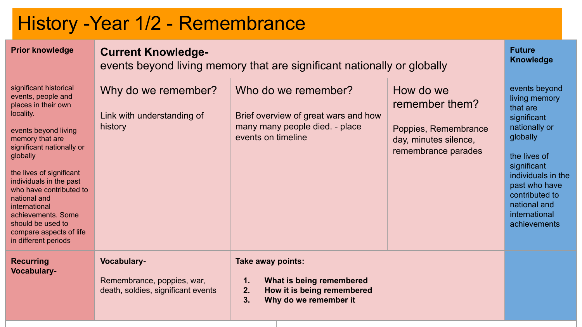# History -Year 1/2 - Remembrance

| <b>Prior knowledge</b>                                                                                                                                                                                                                                                                                                                                                                | <b>Current Knowledge-</b><br>events beyond living memory that are significant nationally or globally | <b>Future</b><br><b>Knowledge</b>                                                                                      |                                                                                                     |                                                                                                                                                                                                                                 |
|---------------------------------------------------------------------------------------------------------------------------------------------------------------------------------------------------------------------------------------------------------------------------------------------------------------------------------------------------------------------------------------|------------------------------------------------------------------------------------------------------|------------------------------------------------------------------------------------------------------------------------|-----------------------------------------------------------------------------------------------------|---------------------------------------------------------------------------------------------------------------------------------------------------------------------------------------------------------------------------------|
| significant historical<br>events, people and<br>places in their own<br>locality.<br>events beyond living<br>memory that are<br>significant nationally or<br>globally<br>the lives of significant<br>individuals in the past<br>who have contributed to<br>national and<br>international<br>achievements, Some<br>should be used to<br>compare aspects of life<br>in different periods | Why do we remember?<br>Link with understanding of<br>history                                         | Who do we remember?<br>Brief overview of great wars and how<br>many many people died. - place<br>events on timeline    | How do we<br>remember them?<br>Poppies, Remembrance<br>day, minutes silence,<br>remembrance parades | events beyond<br>living memory<br>that are<br>significant<br>nationally or<br>globally<br>the lives of<br>significant<br>individuals in the<br>past who have<br>contributed to<br>national and<br>international<br>achievements |
| <b>Recurring</b><br><b>Vocabulary-</b>                                                                                                                                                                                                                                                                                                                                                | Vocabulary-<br>Remembrance, poppies, war,<br>death, soldies, significant events                      | Take away points:<br>What is being remembered<br>1.<br>2.<br>How it is being remembered<br>3.<br>Why do we remember it |                                                                                                     |                                                                                                                                                                                                                                 |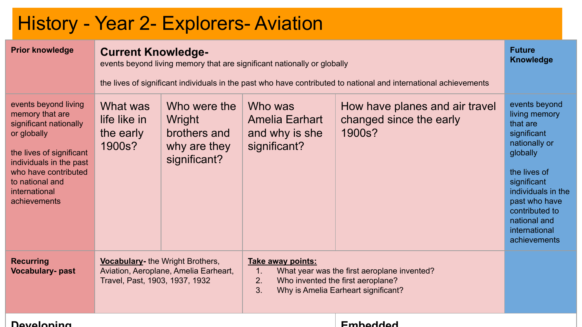#### History - Year 2- Explorers- Aviation

| <b>Prior knowledge</b>                                                                                                                                                                                              |                                                                                                                    | <b>Current Knowledge-</b><br>events beyond living memory that are significant nationally or globally<br>the lives of significant individuals in the past who have contributed to national and international achievements |                                                                                                                                                                            |                                                                     |                                                                                                                                                                                                                                 |  |  |
|---------------------------------------------------------------------------------------------------------------------------------------------------------------------------------------------------------------------|--------------------------------------------------------------------------------------------------------------------|--------------------------------------------------------------------------------------------------------------------------------------------------------------------------------------------------------------------------|----------------------------------------------------------------------------------------------------------------------------------------------------------------------------|---------------------------------------------------------------------|---------------------------------------------------------------------------------------------------------------------------------------------------------------------------------------------------------------------------------|--|--|
| events beyond living<br>memory that are<br>significant nationally<br>or globally<br>the lives of significant<br>individuals in the past<br>who have contributed<br>to national and<br>international<br>achievements | What was<br>life like in<br>the early<br>1900s?                                                                    | Who were the<br>Wright<br>brothers and<br>why are they<br>significant?                                                                                                                                                   | Who was<br><b>Amelia Earhart</b><br>and why is she<br>significant?                                                                                                         | How have planes and air travel<br>changed since the early<br>1900s? | events beyond<br>living memory<br>that are<br>significant<br>nationally or<br>globally<br>the lives of<br>significant<br>individuals in the<br>past who have<br>contributed to<br>national and<br>international<br>achievements |  |  |
| <b>Recurring</b><br><b>Vocabulary-past</b>                                                                                                                                                                          | <b>Vocabulary-</b> the Wright Brothers,<br>Aviation, Aeroplane, Amelia Earheart,<br>Travel, Past, 1903, 1937, 1932 |                                                                                                                                                                                                                          | Take away points:<br>What year was the first aeroplane invented?<br>$\mathbf{1}$ .<br>2.<br>Who invented the first aeroplane?<br>3.<br>Why is Amelia Earheart significant? |                                                                     |                                                                                                                                                                                                                                 |  |  |
| <b>Develoning</b>                                                                                                                                                                                                   |                                                                                                                    |                                                                                                                                                                                                                          |                                                                                                                                                                            | <b>Emhaddad</b>                                                     |                                                                                                                                                                                                                                 |  |  |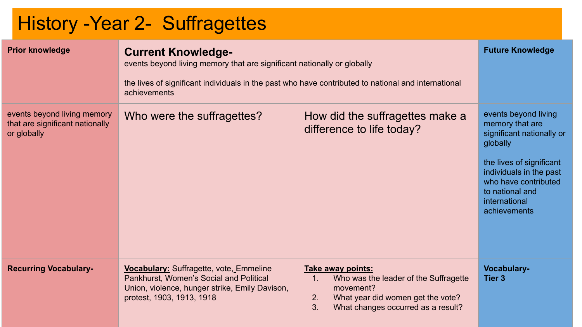# History -Year 2- Suffragettes

| <b>Prior knowledge</b>                                                        | <b>Current Knowledge-</b><br>events beyond living memory that are significant nationally or globally<br>the lives of significant individuals in the past who have contributed to national and international<br>achievements | <b>Future Knowledge</b>                                                                                                                                              |                                                                                                                                                                                                                     |
|-------------------------------------------------------------------------------|-----------------------------------------------------------------------------------------------------------------------------------------------------------------------------------------------------------------------------|----------------------------------------------------------------------------------------------------------------------------------------------------------------------|---------------------------------------------------------------------------------------------------------------------------------------------------------------------------------------------------------------------|
| events beyond living memory<br>that are significant nationally<br>or globally | Who were the suffragettes?                                                                                                                                                                                                  | How did the suffragettes make a<br>difference to life today?                                                                                                         | events beyond living<br>memory that are<br>significant nationally or<br>globally<br>the lives of significant<br>individuals in the past<br>who have contributed<br>to national and<br>international<br>achievements |
| <b>Recurring Vocabulary-</b>                                                  | Vocabulary: Suffragette, vote, Emmeline<br>Pankhurst, Women's Social and Political<br>Union, violence, hunger strike, Emily Davison,<br>protest, 1903, 1913, 1918                                                           | Take away points:<br>1.<br>Who was the leader of the Suffragette<br>movement?<br>What year did women get the vote?<br>2.<br>3.<br>What changes occurred as a result? | Vocabulary-<br>Tier 3                                                                                                                                                                                               |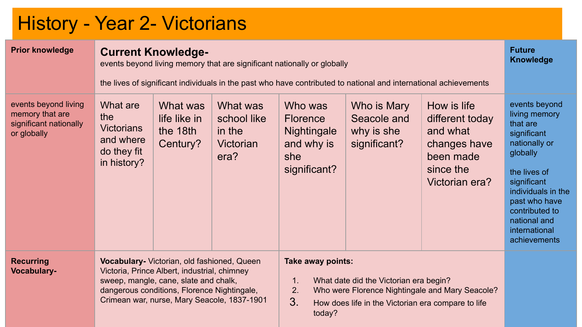# History - Year 2- Victorians

| <b>Prior knowledge</b>                                                           |                                                                                                                                                                                                                                    | <b>Current Knowledge-</b><br>events beyond living memory that are significant nationally or globally<br>the lives of significant individuals in the past who have contributed to national and international achievements |                                                        |                                                                                |                                                                                              |                                                                                                        |                                                                                                                                                                                                                                 |
|----------------------------------------------------------------------------------|------------------------------------------------------------------------------------------------------------------------------------------------------------------------------------------------------------------------------------|--------------------------------------------------------------------------------------------------------------------------------------------------------------------------------------------------------------------------|--------------------------------------------------------|--------------------------------------------------------------------------------|----------------------------------------------------------------------------------------------|--------------------------------------------------------------------------------------------------------|---------------------------------------------------------------------------------------------------------------------------------------------------------------------------------------------------------------------------------|
| events beyond living<br>memory that are<br>significant nationally<br>or globally | What are<br>the<br><b>Victorians</b><br>and where<br>do they fit<br>in history?                                                                                                                                                    | What was<br>life like in<br>the 18th<br>Century?                                                                                                                                                                         | What was<br>school like<br>in the<br>Victorian<br>era? | Who was<br><b>Florence</b><br>Nightingale<br>and why is<br>she<br>significant? | Who is Mary<br>Seacole and<br>why is she<br>significant?                                     | How is life<br>different today<br>and what<br>changes have<br>been made<br>since the<br>Victorian era? | events beyond<br>living memory<br>that are<br>significant<br>nationally or<br>globally<br>the lives of<br>significant<br>individuals in the<br>past who have<br>contributed to<br>national and<br>international<br>achievements |
| <b>Recurring</b><br><b>Vocabulary-</b>                                           | Vocabulary- Victorian, old fashioned, Queen<br>Victoria, Prince Albert, industrial, chimney<br>sweep, mangle, cane, slate and chalk,<br>dangerous conditions, Florence Nightingale,<br>Crimean war, nurse, Mary Seacole, 1837-1901 |                                                                                                                                                                                                                          |                                                        | Take away points:<br>1.<br>2.<br>3.<br>today?                                  | What date did the Victorian era begin?<br>How does life in the Victorian era compare to life | Who were Florence Nightingale and Mary Seacole?                                                        |                                                                                                                                                                                                                                 |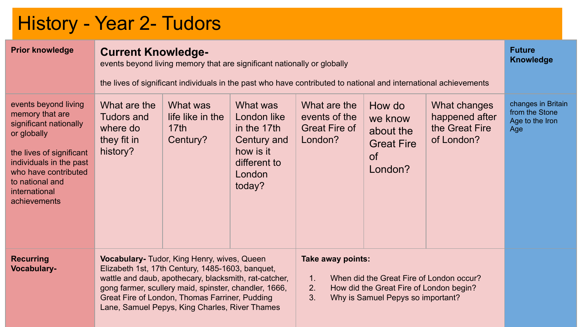# History - Year 2- Tudors

| <b>Prior knowledge</b>                                                                                                                                                                                              | <b>Current Knowledge-</b><br><b>Knowledge</b><br>events beyond living memory that are significant nationally or globally<br>the lives of significant individuals in the past who have contributed to national and international achievements |                                                                                                                                                                                                                                                                                                                       |                                                                                                        |                                                                  |                                                                                                                                                                 |                                                                |                                                                |
|---------------------------------------------------------------------------------------------------------------------------------------------------------------------------------------------------------------------|----------------------------------------------------------------------------------------------------------------------------------------------------------------------------------------------------------------------------------------------|-----------------------------------------------------------------------------------------------------------------------------------------------------------------------------------------------------------------------------------------------------------------------------------------------------------------------|--------------------------------------------------------------------------------------------------------|------------------------------------------------------------------|-----------------------------------------------------------------------------------------------------------------------------------------------------------------|----------------------------------------------------------------|----------------------------------------------------------------|
| events beyond living<br>memory that are<br>significant nationally<br>or globally<br>the lives of significant<br>individuals in the past<br>who have contributed<br>to national and<br>international<br>achievements | What are the<br><b>Tudors and</b><br>where do<br>they fit in<br>history?                                                                                                                                                                     | What was<br>life like in the<br>17th<br>Century?                                                                                                                                                                                                                                                                      | What was<br>London like<br>in the 17th<br>Century and<br>how is it<br>different to<br>London<br>today? | What are the<br>events of the<br><b>Great Fire of</b><br>London? | How do<br>we know<br>about the<br><b>Great Fire</b><br><b>of</b><br>London?                                                                                     | What changes<br>happened after<br>the Great Fire<br>of London? | changes in Britain<br>from the Stone<br>Age to the Iron<br>Age |
| <b>Recurring</b><br><b>Vocabulary-</b>                                                                                                                                                                              |                                                                                                                                                                                                                                              | Vocabulary- Tudor, King Henry, wives, Queen<br>Elizabeth 1st, 17th Century, 1485-1603, banquet,<br>wattle and daub, apothecary, blacksmith, rat-catcher,<br>gong farmer, scullery maid, spinster, chandler, 1666,<br>Great Fire of London, Thomas Farriner, Pudding<br>Lane, Samuel Pepys, King Charles, River Thames |                                                                                                        |                                                                  | Take away points:<br>When did the Great Fire of London occur?<br>1.<br>2.<br>How did the Great Fire of London begin?<br>3.<br>Why is Samuel Pepys so important? |                                                                |                                                                |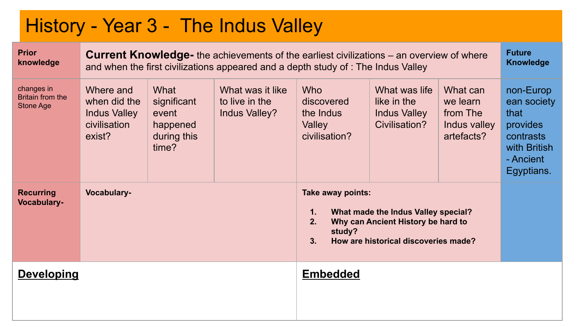### History - Year 3 - The Indus Valley

| <b>Prior</b><br>knowledge                   |                                                                            |                                                                  | <b>Current Knowledge-</b> the achievements of the earliest civilizations – an overview of where<br>and when the first civilizations appeared and a depth study of : The Indus Valley |                                                                  |                                                                                                                   |                                                                | <b>Future</b><br><b>Knowledge</b>                                                                    |
|---------------------------------------------|----------------------------------------------------------------------------|------------------------------------------------------------------|--------------------------------------------------------------------------------------------------------------------------------------------------------------------------------------|------------------------------------------------------------------|-------------------------------------------------------------------------------------------------------------------|----------------------------------------------------------------|------------------------------------------------------------------------------------------------------|
| changes in<br>Britain from the<br>Stone Age | Where and<br>when did the<br><b>Indus Valley</b><br>civilisation<br>exist? | What<br>significant<br>event<br>happened<br>during this<br>time? | What was it like<br>to live in the<br>Indus Valley?                                                                                                                                  | <b>Who</b><br>discovered<br>the Indus<br>Valley<br>civilisation? | What was life<br>like in the<br><b>Indus Valley</b><br>Civilisation?                                              | What can<br>we learn<br>from The<br>Indus valley<br>artefacts? | non-Europ<br>ean society<br>that<br>provides<br>contrasts<br>with British<br>- Ancient<br>Egyptians. |
| <b>Recurring</b><br><b>Vocabulary-</b>      | Vocabulary-                                                                |                                                                  |                                                                                                                                                                                      | Take away points:<br>1.<br>2.<br>study?<br>3.                    | What made the Indus Valley special?<br>Why can Ancient History be hard to<br>How are historical discoveries made? |                                                                |                                                                                                      |
| <b>Developing</b>                           |                                                                            |                                                                  |                                                                                                                                                                                      | <b>Embedded</b>                                                  |                                                                                                                   |                                                                |                                                                                                      |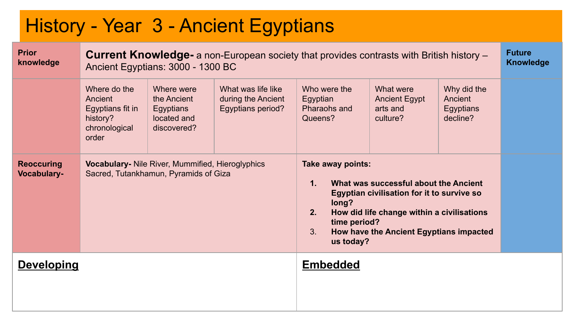### History - Year 3 - Ancient Egyptians

| <b>Prior</b><br>knowledge               |                                                                                   | Ancient Egyptians: 3000 - 1300 BC                                                         | <b>Current Knowledge-</b> a non-European society that provides contrasts with British history – |                                                                                       |                                                                                                                                                                              |                                                 | <b>Future</b><br><b>Knowledge</b> |
|-----------------------------------------|-----------------------------------------------------------------------------------|-------------------------------------------------------------------------------------------|-------------------------------------------------------------------------------------------------|---------------------------------------------------------------------------------------|------------------------------------------------------------------------------------------------------------------------------------------------------------------------------|-------------------------------------------------|-----------------------------------|
|                                         | Where do the<br>Ancient<br>Egyptians fit in<br>history?<br>chronological<br>order | Where were<br>the Ancient<br>Egyptians<br>located and<br>discovered?                      | What was life like<br>during the Ancient<br>Egyptians period?                                   | Who were the<br>Egyptian<br>Pharaohs and<br>Queens?                                   | What were<br><b>Ancient Egypt</b><br>arts and<br>culture?                                                                                                                    | Why did the<br>Ancient<br>Egyptians<br>decline? |                                   |
| <b>Reoccuring</b><br><b>Vocabulary-</b> |                                                                                   | Vocabulary- Nile River, Mummified, Hieroglyphics<br>Sacred, Tutankhamun, Pyramids of Giza |                                                                                                 | Take away points:<br>1 <sub>1</sub><br>long?<br>2.<br>time period?<br>3.<br>us today? | What was successful about the Ancient<br>Egyptian civilisation for it to survive so<br>How did life change within a civilisations<br>How have the Ancient Egyptians impacted |                                                 |                                   |
| <b>Developing</b>                       |                                                                                   |                                                                                           |                                                                                                 | <b>Embedded</b>                                                                       |                                                                                                                                                                              |                                                 |                                   |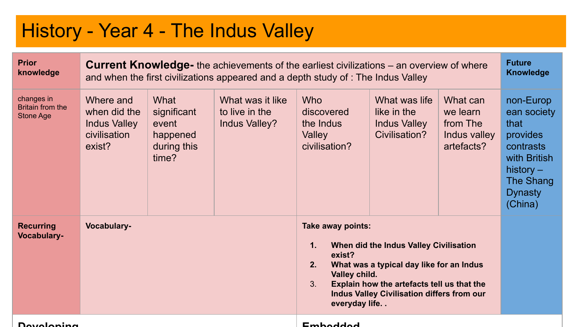#### History - Year 4 - The Indus Valley

| <b>Prior</b><br>knowledge                   | <b>Current Knowledge-</b> the achievements of the earliest civilizations – an overview of where<br>and when the first civilizations appeared and a depth study of : The Indus Valley |                                                                  |                                                     |                                                                                             |                                                                                                                                                                                |                                                                |                                                                                                                                    |  |
|---------------------------------------------|--------------------------------------------------------------------------------------------------------------------------------------------------------------------------------------|------------------------------------------------------------------|-----------------------------------------------------|---------------------------------------------------------------------------------------------|--------------------------------------------------------------------------------------------------------------------------------------------------------------------------------|----------------------------------------------------------------|------------------------------------------------------------------------------------------------------------------------------------|--|
| changes in<br>Britain from the<br>Stone Age | Where and<br>when did the<br><b>Indus Valley</b><br>civilisation<br>exist?                                                                                                           | What<br>significant<br>event<br>happened<br>during this<br>time? | What was it like<br>to live in the<br>Indus Valley? | <b>Who</b><br>discovered<br>the Indus<br>Valley<br>civilisation?                            | What was life<br>like in the<br><b>Indus Valley</b><br>Civilisation?                                                                                                           | What can<br>we learn<br>from The<br>Indus valley<br>artefacts? | non-Europ<br>ean society<br>that<br>provides<br>contrasts<br>with British<br>history $-$<br>The Shang<br><b>Dynasty</b><br>(China) |  |
| <b>Recurring</b><br>Vocabulary-             | Vocabulary-                                                                                                                                                                          |                                                                  |                                                     | Take away points:<br>$\mathbf{1}$ .<br>exist?<br>2.<br>Valley child.<br>3.<br>everyday life | When did the Indus Valley Civilisation<br>What was a typical day like for an Indus<br>Explain how the artefacts tell us that the<br>Indus Valley Civilisation differs from our |                                                                |                                                                                                                                    |  |
| <b>Dovoloning</b>                           |                                                                                                                                                                                      |                                                                  |                                                     | Emhoddod                                                                                    |                                                                                                                                                                                |                                                                |                                                                                                                                    |  |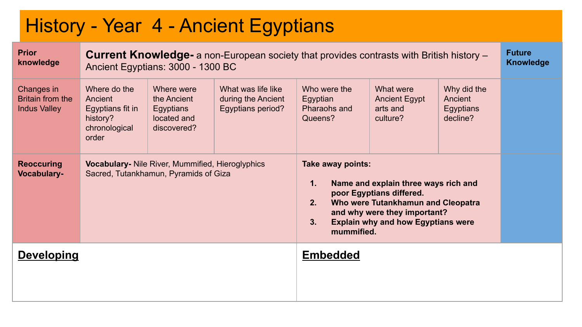### History - Year 4 - Ancient Egyptians

| <b>Prior</b><br>knowledge                             | <b>Current Knowledge-</b> a non-European society that provides contrasts with British history –<br>Ancient Egyptians: 3000 - 1300 BC |                                                                                           |                                                               |                                                                                                                                                                     |                                                                                                                                                                                     |  |  |  |
|-------------------------------------------------------|--------------------------------------------------------------------------------------------------------------------------------------|-------------------------------------------------------------------------------------------|---------------------------------------------------------------|---------------------------------------------------------------------------------------------------------------------------------------------------------------------|-------------------------------------------------------------------------------------------------------------------------------------------------------------------------------------|--|--|--|
| Changes in<br>Britain from the<br><b>Indus Valley</b> | Where do the<br>Ancient<br>Egyptians fit in<br>history?<br>chronological<br>order                                                    | Where were<br>the Ancient<br>Egyptians<br>located and<br>discovered?                      | What was life like<br>during the Ancient<br>Egyptians period? | Who were the<br>What were<br>Why did the<br>Ancient<br>Egyptian<br><b>Ancient Egypt</b><br>Pharaohs and<br>arts and<br>Egyptians<br>decline?<br>Queens?<br>culture? |                                                                                                                                                                                     |  |  |  |
| <b>Reoccuring</b><br><b>Vocabulary-</b>               |                                                                                                                                      | Vocabulary- Nile River, Mummified, Hieroglyphics<br>Sacred, Tutankhamun, Pyramids of Giza |                                                               | Take away points:<br>1.<br>2 <sub>1</sub><br>3 <sub>1</sub><br>mummified.                                                                                           | Name and explain three ways rich and<br>poor Egyptians differed.<br>Who were Tutankhamun and Cleopatra<br>and why were they important?<br><b>Explain why and how Egyptians were</b> |  |  |  |
| <b>Developing</b>                                     |                                                                                                                                      |                                                                                           |                                                               | <b>Embedded</b>                                                                                                                                                     |                                                                                                                                                                                     |  |  |  |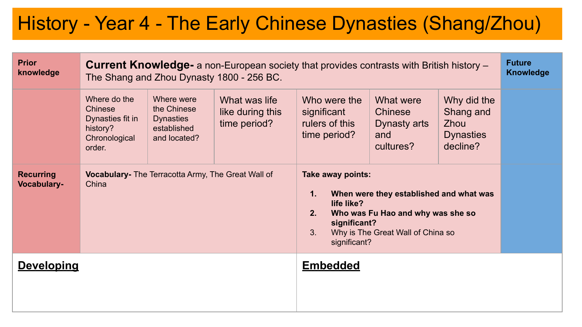### History - Year 4 - The Early Chinese Dynasties (Shang/Zhou)

| <b>Prior</b><br>knowledge              | <b>Current Knowledge-</b> a non-European society that provides contrasts with British history –<br>The Shang and Zhou Dynasty 1800 - 256 BC. |                                                                              |                                                   |                                                                                   |                                                                                                                   |                                                                         |  |  |
|----------------------------------------|----------------------------------------------------------------------------------------------------------------------------------------------|------------------------------------------------------------------------------|---------------------------------------------------|-----------------------------------------------------------------------------------|-------------------------------------------------------------------------------------------------------------------|-------------------------------------------------------------------------|--|--|
|                                        | Where do the<br>Chinese<br>Dynasties fit in<br>history?<br>Chronological<br>order.                                                           | Where were<br>the Chinese<br><b>Dynasties</b><br>established<br>and located? | What was life<br>like during this<br>time period? | Who were the<br>significant<br>rulers of this<br>time period?                     | What were<br>Chinese<br>Dynasty arts<br>and<br>cultures?                                                          | Why did the<br>Shang and<br><b>Zhou</b><br><b>Dynasties</b><br>decline? |  |  |
| <b>Recurring</b><br><b>Vocabulary-</b> | China                                                                                                                                        | Vocabulary- The Terracotta Army, The Great Wall of                           |                                                   | Take away points:<br>1.<br>life like?<br>2.<br>significant?<br>3.<br>significant? | When were they established and what was<br>Who was Fu Hao and why was she so<br>Why is The Great Wall of China so |                                                                         |  |  |
| <b>Developing</b>                      |                                                                                                                                              |                                                                              |                                                   | <b>Embedded</b>                                                                   |                                                                                                                   |                                                                         |  |  |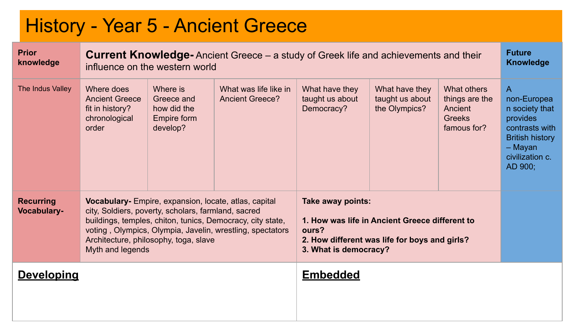#### History - Year 5 - Ancient Greece **Prior knowledge Current Knowledge-** Ancient Greece – a study of Greek life and achievements and their influence on the western world **Future Knowledge** The Indus Valley Where does Ancient Greece fit in history? chronological order Where is Greece and how did the Empire form develop? What was life like in Ancient Greece? What have they taught us about Democracy? What have they taught us about the Olympics? What others things are the Ancient **Greeks** famous for? A non-Europea n society that provides contrasts with British history – Mayan civilization c. AD 900; **Recurring Vocabulary-Vocabulary-** Empire, expansion, locate, atlas, capital city, Soldiers, poverty, scholars, farmland, sacred buildings, temples, chiton, tunics, Democracy, city state, voting , Olympics, Olympia, Javelin, wrestling, spectators Architecture, philosophy, toga, slave Myth and legends **Take away points: 1. How was life in Ancient Greece different to ours? 2. How different was life for boys and girls? 3. What is democracy? Developing Embedded**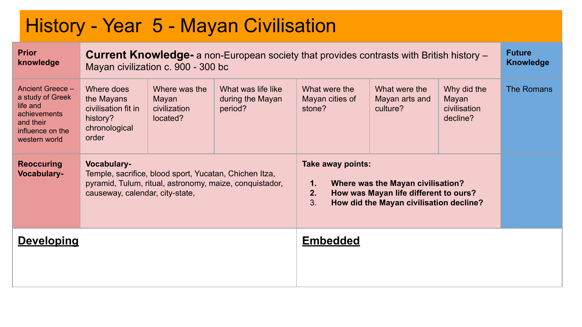### History - Year 5 - Mayan Civilisation

| <b>Prior</b><br>knowledge                                                                                          | <b>Current Knowledge-</b> a non-European society that provides contrasts with British history –<br>Mayan civilization c. 900 - 300 bc                               |                                                    |                                                   |                                            |                                                                                                                       |                                                  |            |
|--------------------------------------------------------------------------------------------------------------------|---------------------------------------------------------------------------------------------------------------------------------------------------------------------|----------------------------------------------------|---------------------------------------------------|--------------------------------------------|-----------------------------------------------------------------------------------------------------------------------|--------------------------------------------------|------------|
| Ancient Greece -<br>a study of Greek<br>life and<br>achievements<br>and their<br>influence on the<br>western world | Where does<br>the Mayans<br>civilisation fit in<br>history?<br>chronological<br>order                                                                               | Where was the<br>Mayan<br>civilization<br>located? | What was life like<br>during the Mayan<br>period? | What were the<br>Mayan cities of<br>stone? | What were the<br>Mayan arts and<br>culture?                                                                           | Why did the<br>Mayan<br>civilisation<br>decline? | The Romans |
| <b>Reoccuring</b><br><b>Vocabulary-</b>                                                                            | Vocabulary-<br>Temple, sacrifice, blood sport, Yucatan, Chichen Itza,<br>pyramid, Tulum, ritual, astronomy, maize, conquistador,<br>causeway, calendar, city-state, |                                                    |                                                   | Take away points:<br>1.<br>2.<br>3.        | Where was the Mayan civilisation?<br>How was Mayan life different to ours?<br>How did the Mayan civilisation decline? |                                                  |            |
| <b>Developing</b>                                                                                                  |                                                                                                                                                                     |                                                    |                                                   | <b>Embedded</b>                            |                                                                                                                       |                                                  |            |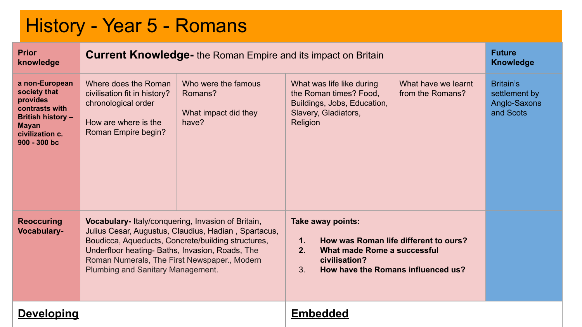#### History - Year 5 - Romans

| <b>Prior</b><br>knowledge                                                                                                                     | <b>Current Knowledge-</b> the Roman Empire and its impact on Britain                                                                                                                      | <b>Future</b><br><b>Knowledge</b>                                                                          |                                                                                                                        |                                                                             |                                                         |
|-----------------------------------------------------------------------------------------------------------------------------------------------|-------------------------------------------------------------------------------------------------------------------------------------------------------------------------------------------|------------------------------------------------------------------------------------------------------------|------------------------------------------------------------------------------------------------------------------------|-----------------------------------------------------------------------------|---------------------------------------------------------|
| a non-European<br>society that<br>provides<br>contrasts with<br><b>British history -</b><br><b>Mayan</b><br>civilization c.<br>$900 - 300$ bc | Where does the Roman<br>civilisation fit in history?<br>chronological order<br>How are where is the<br>Roman Empire begin?                                                                | Who were the famous<br>Romans?<br>What impact did they<br>have?                                            | What was life like during<br>the Roman times? Food,<br>Buildings, Jobs, Education,<br>Slavery, Gladiators,<br>Religion | What have we learnt<br>from the Romans?                                     | Britain's<br>settlement by<br>Anglo-Saxons<br>and Scots |
| <b>Reoccuring</b><br>Vocabulary-                                                                                                              | Vocabulary-Italy/conquering, Invasion of Britain,<br>Underfloor heating- Baths, Invasion, Roads, The<br>Roman Numerals, The First Newspaper., Modern<br>Plumbing and Sanitary Management. | Julius Cesar, Augustus, Claudius, Hadian, Spartacus,<br>Boudicca, Aqueducts, Concrete/building structures, | Take away points:<br>$\mathbf{1}$ .<br>2.<br>What made Rome a successful<br>civilisation?<br>3.                        | How was Roman life different to ours?<br>How have the Romans influenced us? |                                                         |
| <b>Developing</b>                                                                                                                             |                                                                                                                                                                                           |                                                                                                            | <b>Embedded</b>                                                                                                        |                                                                             |                                                         |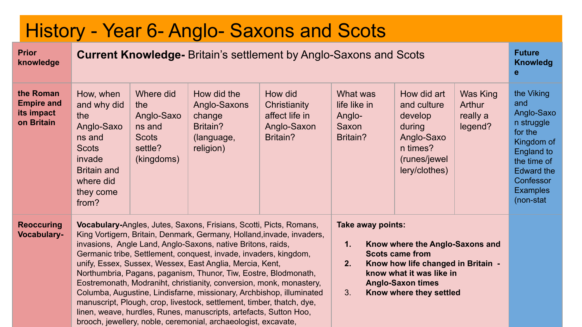| History - Year 6- Anglo- Saxons and Scots                  |                                                                                                                                                                                                                                                                                                                                                                                                                                                                                                                                                                                                                                                                                                                                                                                                                                                                                                                                                                                                           |                                                                                   |                                                                              |                                                                      |                                                         |                                                                                                            |                                           |                                                                                                                                                                       |  |  |
|------------------------------------------------------------|-----------------------------------------------------------------------------------------------------------------------------------------------------------------------------------------------------------------------------------------------------------------------------------------------------------------------------------------------------------------------------------------------------------------------------------------------------------------------------------------------------------------------------------------------------------------------------------------------------------------------------------------------------------------------------------------------------------------------------------------------------------------------------------------------------------------------------------------------------------------------------------------------------------------------------------------------------------------------------------------------------------|-----------------------------------------------------------------------------------|------------------------------------------------------------------------------|----------------------------------------------------------------------|---------------------------------------------------------|------------------------------------------------------------------------------------------------------------|-------------------------------------------|-----------------------------------------------------------------------------------------------------------------------------------------------------------------------|--|--|
| <b>Prior</b><br>knowledge                                  |                                                                                                                                                                                                                                                                                                                                                                                                                                                                                                                                                                                                                                                                                                                                                                                                                                                                                                                                                                                                           | <b>Current Knowledge-</b> Britain's settlement by Anglo-Saxons and Scots          |                                                                              |                                                                      |                                                         |                                                                                                            |                                           |                                                                                                                                                                       |  |  |
| the Roman<br><b>Empire and</b><br>its impact<br>on Britain | How, when<br>and why did<br>the<br>Anglo-Saxo<br>ns and<br><b>Scots</b><br>invade<br><b>Britain and</b><br>where did<br>they come<br>from?                                                                                                                                                                                                                                                                                                                                                                                                                                                                                                                                                                                                                                                                                                                                                                                                                                                                | Where did<br>the<br>Anglo-Saxo<br>ns and<br><b>Scots</b><br>settle?<br>(kingdoms) | How did the<br>Anglo-Saxons<br>change<br>Britain?<br>(language,<br>religion) | How did<br>Christianity<br>affect life in<br>Anglo-Saxon<br>Britain? | What was<br>life like in<br>Anglo-<br>Saxon<br>Britain? | How did art<br>and culture<br>develop<br>during<br>Anglo-Saxo<br>n times?<br>(runes/jewel<br>lery/clothes) | Was King<br>Arthur<br>really a<br>legend? | the Viking<br>and<br>Anglo-Saxo<br>n struggle<br>for the<br>Kingdom of<br>England to<br>the time of<br><b>Edward the</b><br>Confessor<br><b>Examples</b><br>(non-stat |  |  |
| <b>Reoccuring</b><br><b>Vocabulary-</b>                    | Vocabulary-Angles, Jutes, Saxons, Frisians, Scotti, Picts, Romans,<br>Take away points:<br>King Vortigern, Britain, Denmark, Germany, Holland, invade, invaders,<br>invasions, Angle Land, Anglo-Saxons, native Britons, raids,<br>1.<br>Know where the Anglo-Saxons and<br>Germanic tribe, Settlement, conquest, invade, invaders, kingdom,<br><b>Scots came from</b><br>unify, Essex, Sussex, Wessex, East Anglia, Mercia, Kent,<br>2.<br>Know how life changed in Britain -<br>Northumbria, Pagans, paganism, Thunor, Tiw, Eostre, Blodmonath,<br>know what it was like in<br>Eostremonath, Modraniht, christianity, conversion, monk, monastery,<br><b>Anglo-Saxon times</b><br>3.<br>Columba, Augustine, Lindisfarne, missionary, Archbishop, illuminated<br>Know where they settled<br>manuscript, Plough, crop, livestock, settlement, timber, thatch, dye,<br>linen, weave, hurdles, Runes, manuscripts, artefacts, Sutton Hoo,<br>brooch, jewellery, noble, ceremonial, archaeologist, excavate, |                                                                                   |                                                                              |                                                                      |                                                         |                                                                                                            |                                           |                                                                                                                                                                       |  |  |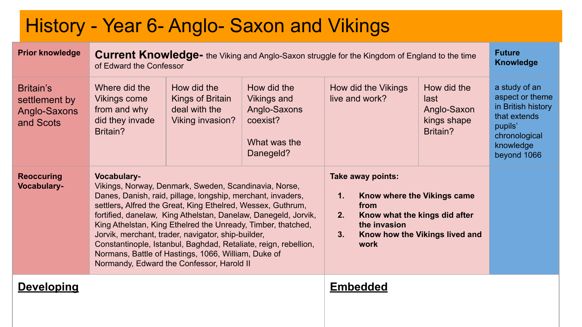|                                                         |                                                                              |                                                                                                                                                                                                                                                                                                                                                                                                                                                                                  | History - Year 6- Anglo- Saxon and Vikings                                                 |                                       |                                                                                                                   |                                                               |                                                                                                                                |  |  |  |  |
|---------------------------------------------------------|------------------------------------------------------------------------------|----------------------------------------------------------------------------------------------------------------------------------------------------------------------------------------------------------------------------------------------------------------------------------------------------------------------------------------------------------------------------------------------------------------------------------------------------------------------------------|--------------------------------------------------------------------------------------------|---------------------------------------|-------------------------------------------------------------------------------------------------------------------|---------------------------------------------------------------|--------------------------------------------------------------------------------------------------------------------------------|--|--|--|--|
| <b>Prior knowledge</b>                                  |                                                                              | <b>Future</b><br><b>Current Knowledge-</b> the Viking and Anglo-Saxon struggle for the Kingdom of England to the time<br><b>Knowledge</b><br>of Edward the Confessor                                                                                                                                                                                                                                                                                                             |                                                                                            |                                       |                                                                                                                   |                                                               |                                                                                                                                |  |  |  |  |
| Britain's<br>settlement by<br>Anglo-Saxons<br>and Scots | Where did the<br>Vikings come<br>from and why<br>did they invade<br>Britain? | How did the<br>Kings of Britain<br>deal with the<br>Viking invasion?                                                                                                                                                                                                                                                                                                                                                                                                             | How did the<br><b>Vikings and</b><br>Anglo-Saxons<br>coexist?<br>What was the<br>Danegeld? | How did the Vikings<br>live and work? |                                                                                                                   | How did the<br>last<br>Anglo-Saxon<br>kings shape<br>Britain? | a study of an<br>aspect or theme<br>in British history<br>that extends<br>pupils'<br>chronological<br>knowledge<br>beyond 1066 |  |  |  |  |
| <b>Reoccuring</b><br><b>Vocabulary-</b>                 | Vocabulary-                                                                  | Vikings, Norway, Denmark, Sweden, Scandinavia, Norse,<br>Danes, Danish, raid, pillage, longship, merchant, invaders,<br>settlers, Alfred the Great, King Ethelred, Wessex, Guthrum,<br>King Athelstan, King Ethelred the Unready, Timber, thatched,<br>Jorvik, merchant, trader, navigator, ship-builder,<br>Constantinople, Istanbul, Baghdad, Retaliate, reign, rebellion,<br>Normans, Battle of Hastings, 1066, William, Duke of<br>Normandy, Edward the Confessor, Harold II | fortified, danelaw, King Athelstan, Danelaw, Danegeld, Jorvik,                             | 1.<br>2.<br>3.                        | Take away points:<br>Know where the Vikings came<br>from<br>Know what the kings did after<br>the invasion<br>work | Know how the Vikings lived and                                |                                                                                                                                |  |  |  |  |
| <b>Developing</b>                                       |                                                                              |                                                                                                                                                                                                                                                                                                                                                                                                                                                                                  |                                                                                            |                                       | <b>Embedded</b>                                                                                                   |                                                               |                                                                                                                                |  |  |  |  |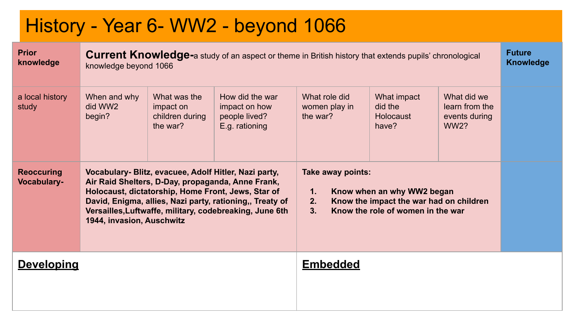### History - Year 6- WW2 - beyond 1066

| <b>Prior</b><br>knowledge               | <b>Current Knowledge-a study of an aspect or theme in British history that extends pupils' chronological</b><br>knowledge beyond 1066                                                                                                                                                                                |                                                          |                                                                     |                                            |                                                                                                            |                                                               |  |  |
|-----------------------------------------|----------------------------------------------------------------------------------------------------------------------------------------------------------------------------------------------------------------------------------------------------------------------------------------------------------------------|----------------------------------------------------------|---------------------------------------------------------------------|--------------------------------------------|------------------------------------------------------------------------------------------------------------|---------------------------------------------------------------|--|--|
| a local history<br>study                | When and why<br>did WW2<br>begin?                                                                                                                                                                                                                                                                                    | What was the<br>impact on<br>children during<br>the war? | How did the war<br>impact on how<br>people lived?<br>E.g. rationing | What role did<br>women play in<br>the war? | What impact<br>did the<br>Holocaust<br>have?                                                               | What did we<br>learn from the<br>events during<br><b>WW2?</b> |  |  |
| <b>Reoccuring</b><br><b>Vocabulary-</b> | Vocabulary- Blitz, evacuee, Adolf Hitler, Nazi party,<br>Air Raid Shelters, D-Day, propaganda, Anne Frank,<br>Holocaust, dictatorship, Home Front, Jews, Star of<br>David, Enigma, allies, Nazi party, rationing,, Treaty of<br>Versailles, Luftwaffe, military, codebreaking, June 6th<br>1944, invasion, Auschwitz |                                                          |                                                                     | Take away points:<br>1.<br>2.<br>3.        | Know when an why WW2 began<br>Know the impact the war had on children<br>Know the role of women in the war |                                                               |  |  |
| <b>Developing</b>                       |                                                                                                                                                                                                                                                                                                                      |                                                          |                                                                     | <b>Embedded</b>                            |                                                                                                            |                                                               |  |  |